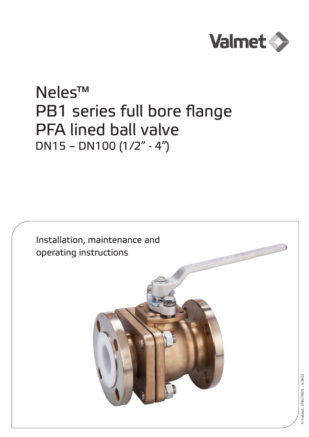

# Neles™ PB1 series full bore flange PFA lined ball valve DN15 – DN100 (1/2" - 4")

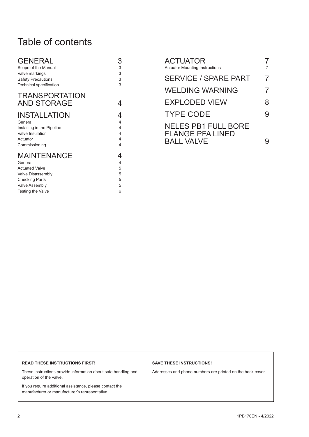# Table of contents

| <b>GENERAL</b>             | 3 |
|----------------------------|---|
| Scope of the Manual        | 3 |
| Valve markings             | 3 |
| <b>Safety Precautions</b>  | 3 |
| Technical specification    | 3 |
| <b>TRANSPORTATION</b>      |   |
| <b>AND STORAGE</b>         | 4 |
| <b>INSTALLATION</b>        | 4 |
| General                    | 4 |
|                            | 4 |
| Installing in the Pipeline |   |
| Valve Insulation           | 4 |
| Actuator                   | 4 |
| Commissioning              | 4 |
| <b>MAINTENANCE</b>         | 4 |
| General                    | 4 |
| <b>Actuated Valve</b>      | 5 |
| Valve Disassembly          | 5 |
| <b>Checking Parts</b>      | 5 |
| <b>Valve Assembly</b>      | 5 |
| Testing the Valve          | 6 |

| ACTUATOR<br><b>Actuator Mounting Instructions</b> |   |
|---------------------------------------------------|---|
| <b>SERVICE / SPARE PART</b>                       | 7 |
| WELDING WARNING                                   | 7 |
| <b>EXPLODED VIEW</b>                              | 8 |
| <b>TYPE CODE</b>                                  | 9 |
| <b>NELES PB1 FULL BORE</b>                        |   |
| <b>FLANGE PFA LINED</b><br><b>BALL VALVE</b>      |   |

#### **READ THESE INSTRUCTIONS FIRST!**

These instructions provide information about safe handling and operation of the valve.

If you require additional assistance, please contact the manufacturer or manufacturer's representative.

### **SAVE THESE INSTRUCTIONS!**

Addresses and phone numbers are printed on the back cover.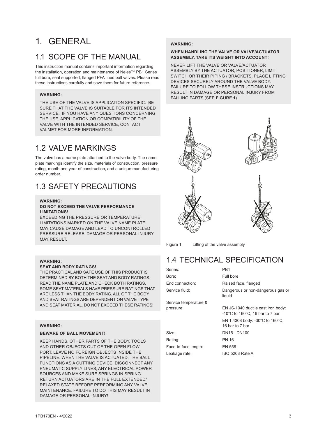# <span id="page-2-0"></span>1. GENERAL

### 1.1 SCOPE OF THE MANUAL

This instruction manual contains important information regarding the installation, operation and maintenance of Neles™ PB1 Series full bore, seat supported, flanged PFA lined ball valves. Please read these instructions carefully and save them for future reference.

#### **WARNING:**

THE USE OF THE VALVE IS APPLICATION SPECIFIC. BE SURE THAT THE VALVE IS SUITABLE FOR ITS INTENDED SERVICE. IF YOU HAVE ANY QUESTIONS CONCERNING THE USE, APPLICATION OR COMPATIBILITY OF THE VALVE WITH THE INTENDED SERVICE, CONTACT VALMET FOR MORE INFORMATION.

### 1.2 VALVE MARKINGS

The valve has a name plate attached to the valve body. The name plate markings identify the size, materials of construction, pressure rating, month and year of construction, and a unique manufacturing order number.

### 1.3 SAFETY PRECAUTIONS

### **WARNING:**

#### **DO NOT EXCEED THE VALVE PERFORMANCE LIMITATIONS!**

EXCEEDING THE PRESSURE OR TEMPERATURE LIMITATIONS MARKED ON THE VALVE NAME PLATE MAY CAUSE DAMAGE AND LEAD TO UNCONTROLLED PRESSURE RELEASE. DAMAGE OR PERSONAL INJURY MAY RESULT.

### **WARNING:**

#### **SEAT AND BODY RATINGS!**

THE PRACTICAL AND SAFE USE OF THIS PRODUCT IS DETERMINED BY BOTH THE SEAT AND BODY RATINGS. READ THE NAME PLATE AND CHECK BOTH RATINGS. SOME SEAT MATERIALS HAVE PRESSURE RATINGS THAT ARE LESS THAN THE BODY RATING. ALL OF THE BODY AND SEAT RATINGS ARE DEPENDENT ON VALVE TYPE AND SEAT MATERIAL. DO NOT EXCEED THESE RATINGS!

### **WARNING:**

#### **BEWARE OF BALL MOVEMENT!**

KEEP HANDS, OTHER PARTS OF THE BODY, TOOLS AND OTHER OBJECTS OUT OF THE OPEN FLOW PORT. LEAVE NO FOREIGN OBJECTS INSIDE THE PIPELINE. WHEN THE VALVE IS ACTUATED, THE BALL FUNCTIONS AS A CUTTING DEVICE. DISCONNECT ANY PNEUMATIC SUPPLY LINES, ANY ELECTRICAL POWER SOURCES AND MAKE SURE SPRINGS IN SPRING-RETURN ACTUATORS ARE IN THE FULL EXTENDED/ RELAXED STATE BEFORE PERFORMING ANY VALVE MAINTENANCE. FAILURE TO DO THIS MAY RESULT IN DAMAGE OR PERSONAL INJURY!

### **WARNING:**

#### **WHEN HANDLING THE VALVE OR VALVE/ACTUATOR ASSEMBLY, TAKE ITS WEIGHT INTO ACCOUNT!**

NEVER LIFT THE VALVE OR VALVE/ACTUATOR ASSEMBLY BY THE ACTUATOR, POSITIONER, LIMIT SWITCH OR THEIR PIPING / BRACKETS. PLACE LIFTING DEVICES SECURELY AROUND THE VALVE BODY. FAILURE TO FOLLOW THESE INSTRUCTIONS MAY RESULT IN DAMAGE OR PERSONAL INJURY FROM FALLING PARTS (SEE **FIGURE 1**).



Figure 1. Lifting of the valve assembly

### 1.4 TECHNICAL SPECIFICATION

| Series:               | PB1                                                                                         |
|-----------------------|---------------------------------------------------------------------------------------------|
| Bore:                 | Full bore                                                                                   |
| End connection:       | Raised face, flanged                                                                        |
| Service fluid:        | Dangerous or non-dangerous gas or<br>liquid                                                 |
| Service temperature & |                                                                                             |
| pressure:             | EN JS-1040 ductile cast iron body:<br>-10 $^{\circ}$ C to 160 $^{\circ}$ C, 16 bar to 7 bar |
|                       |                                                                                             |

EN 1.4308 body: -30°C to 160°C,

| 16 bar to 7 bar |
|-----------------|
| DN15 - DN100    |
| PN 16           |
| EN 558          |
| ISO 5208 Rate A |
|                 |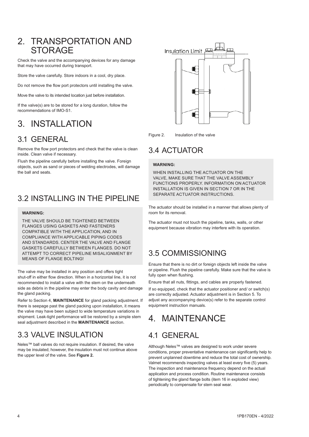### <span id="page-3-0"></span>2. TRANSPORTATION AND **STORAGE**

Check the valve and the accompanying devices for any damage that may have occurred during transport.

Store the valve carefully. Store indoors in a cool, dry place.

Do not remove the flow port protectors until installing the valve.

Move the valve to its intended location just before installation.

If the valve(s) are to be stored for a long duration, follow the recommendations of IMO-S1.

# 3. INSTALLATION

### 3.1 GENERAL

Remove the flow port protectors and check that the valve is clean inside. Clean valve if necessary.

Flush the pipeline carefully before installing the valve. Foreign objects, such as sand or pieces of welding electrodes, will damage the ball and seats.

### 3.2 INSTALLING IN THE PIPELINE

### **WARNING:**

THE VALVE SHOULD BE TIGHTENED BETWEEN FLANGES USING GASKETS AND FASTENERS COMPATIBLE WITH THE APPLICATION, AND IN COMPLIANCE WITH APPLICABLE PIPING CODES AND STANDARDS. CENTER THE VALVE AND FLANGE GASKETS CAREFULLY BETWEEN FLANGES. DO NOT ATTEMPT TO CORRECT PIPELINE MISALIGNMENT BY MEANS OF FLANGE BOLTING!

The valve may be installed in any position and offers tight shut-off in either flow direction. When in a horizontal line, it is not recommended to install a valve with the stem on the underneath side as debris in the pipeline may enter the body cavity and damage the gland packing.

Refer to Section 4, **MAINTENANCE** for gland packing adjustment. If there is seepage past the gland packing upon installation, it means the valve may have been subject to wide temperature variations in shipment. Leak-tight performance will be restored by a simple stem seal adjustment described in the **MAINTENANCE** section.

### 3.3 VALVE INSULATION

Neles™ ball valves do not require insulation. If desired, the valve may be insulated; however, the insulation must not continue above the upper level of the valve. See **Figure 2.**



Figure 2. Insulation of the valve

### 3.4 ACTUATOR

#### **WARNING:**

WHEN INSTALLING THE ACTUATOR ON THE VALVE, MAKE SURE THAT THE VALVE ASSEMBLY FUNCTIONS PROPERLY. INFORMATION ON ACTUATOR INSTALLATION IS GIVEN IN SECTION 7 OR IN THE SEPARATE ACTUATOR INSTRUCTIONS.

The actuator should be installed in a manner that allows plenty of room for its removal.

The actuator must not touch the pipeline, tanks, walls, or other equipment because vibration may interfere with its operation.

### 3.5 COMMISSIONING

Ensure that there is no dirt or foreign objects left inside the valve or pipeline. Flush the pipeline carefully. Make sure that the valve is fully open when flushing.

Ensure that all nuts, fittings, and cables are properly fastened.

If so equipped, check that the actuator positioner and/ or switch(s) are correctly adjusted. Actuator adjustment is in Section 5. To adjust any accompanying device(s) refer to the separate control equipment instruction manuals.

# 4. MAINTENANCE

### 4.1 GENERAL

Although Neles™ valves are designed to work under severe conditions, proper preventative maintenance can significantly help to prevent unplanned downtime and reduce the total cost of ownership. Valmet recommends inspecting valves at least every five (5) years. The inspection and maintenance frequency depend on the actual application and process condition. Routine maintenance consists of tightening the gland flange bolts (item 16 in exploded view) periodically to compensate for stem seal wear.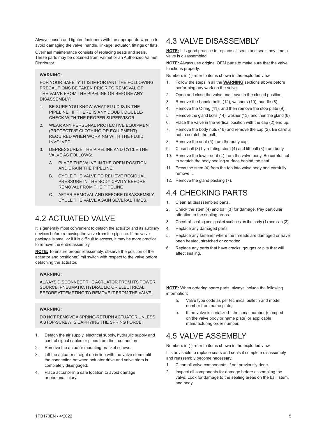<span id="page-4-0"></span>Always loosen and tighten fasteners with the appropriate wrench to avoid damaging the valve, handle, linkage, actuator, fittings or flats.

Overhaul maintenance consists of replacing seats and seals. These parts may be obtained from Valmet or an Authorized Valmet Distributor.

#### **WARNING:**

FOR YOUR SAFETY, IT IS IMPORTANT THE FOLLOWING PRECAUTIONS BE TAKEN PRIOR TO REMOVAL OF THE VALVE FROM THE PIPELINE OR BEFORE ANY DISASSEMBLY:

- 1. BE SURE YOU KNOW WHAT FLUID IS IN THE PIPELINE. IF THERE IS ANY DOUBT, DOUBLE-CHECK WITH THE PROPER SUPERVISOR.
- 2. WEAR ANY PERSONAL PROTECTIVE EQUIPMENT (PROTECTIVE CLOTHING OR EQUIPMENT) REQUIRED WHEN WORKING WITH THE FLUID INVOLVED.
- 3. DEPRESSURIZE THE PIPELINE AND CYCLE THE VALVE AS FOLLOWS:
	- A. PLACE THE VALVE IN THE OPEN POSITION AND DRAIN THE PIPELINE.
	- B. CYCLE THE VALVE TO RELIEVE RESIDUAL PRESSURE IN THE BODY CAVITY BEFORE REMOVAL FROM THE PIPELINE
	- C. AFTER REMOVAL AND BEFORE DISASSEMBLY, CYCLE THE VALVE AGAIN SEVERAL TIMES.

### 4.2 ACTUATED VALVE

It is generally most convenient to detach the actuator and its auxiliary devices before removing the valve from the pipeline. If the valve package is small or if it is difficult to access, it may be more practical to remove the entire assembly.

**NOTE:** To ensure proper reassembly, observe the position of the actuator and positioner/limit switch with respect to the valve before detaching the actuator.

#### **WARNING:**

ALWAYS DISCONNECT THE ACTUATOR FROM ITS POWER SOURCE, PNEUMATIC, HYDRAULIC OR ELECTRICAL, BEFORE ATTEMPTING TO REMOVE IT FROM THE VALVE!

#### **WARNING:**

DO NOT REMOVE A SPRING-RETURN ACTUATOR UNLESS A STOP-SCREW IS CARRYING THE SPRING FORCE!

- 1. Detach the air supply, electrical supply, hydraulic supply and control signal cables or pipes from their connectors.
- 2. Remove the actuator mounting bracket screws.
- 3. Lift the actuator straight up in line with the valve stem until the connection between actuator drive and valve stem is completely disengaged.
- 4. Place actuator in a safe location to avoid damage or personal injury.

### 4.3 VALVE DISASSEMBLY

**NOTE:** It is good practice to replace all seats and seals any time a valve is disassembled.

**NOTE:** Always use original OEM parts to make sure that the valve functions properly.

Numbers in ( ) refer to items shown in the exploded view

- 1. Follow the steps in all the **WARNING** sections above before performing any work on the valve.
- 2. Open and close the valve and leave in the closed position.
- 3. Remove the handle bolts (12), washers (10), handle (8).
- 4. Remove the C-ring (11), and then remove the stop plate (9).
- 5. Remove the gland bolts (14), washer (13), and then the gland (6).
- 6. Place the valve in the vertical position with the cap (2) end up.
- 7. Remove the body nuts (16) and remove the cap (2). Be careful not to scratch the ball.
- 8. Remove the seat (5) from the body cap.
- 9. Close ball (3) by rotating stem (4) and lift ball (3) from body.
- 10. Remove the lower seat (4) from the valve body. Be careful not to scratch the body sealing surface behind the seat.
- 11. Press the stem (4) from the top into valve body and carefully remove it.
- 12. Remove the gland packing (7).

### 4.4 CHECKING PARTS

- 1. Clean all disassembled parts.
- 2. Check the stem (4) and ball (3) for damage. Pay particular attention to the sealing areas.
- 3. Check all sealing and gasket surfaces on the body (1) and cap (2).
- 4. Replace any damaged parts.
- 5. Replace any fastener where the threads are damaged or have been heated, stretched or corroded.
- 6. Replace any parts that have cracks, gouges or pits that will affect sealing.

**NOTE:** When ordering spare parts, always include the following information:

- a. Valve type code as per technical bulletin and model number from name plate,
- b. If the valve is serialized the serial number (stamped on the valve body or name plate) or applicable manufacturing order number,

### 4.5 VALVE ASSEMBLY

Numbers in ( ) refer to items shown in the exploded view.

It is advisable to replace seats and seals if complete disassembly and reassembly become necessary.

- 1. Clean all valve components, if not previously done.
- 2. Inspect all components for damage before assembling the valve. Look for damage to the sealing areas on the ball, stem, and body.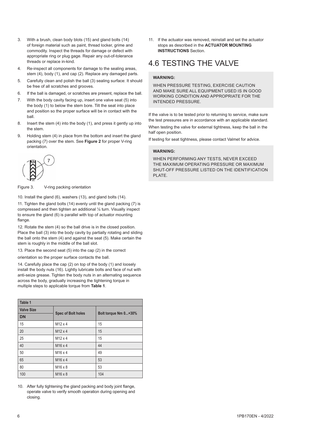- <span id="page-5-0"></span>3. With a brush, clean body blots (15) and gland bolts (14) of foreign material such as paint, thread locker, grime and commodity. Inspect the threads for damage or defect with appropriate ring or plug gage. Repair any out-of-tolerance threads or replace in-kind.
- 4. Re-inspect all components for damage to the sealing areas, stem (4), body (1), and cap (2). Replace any damaged parts.
- 5. Carefully clean and polish the ball (3) sealing surface: It should be free of all scratches and grooves.
- 6. If the ball is damaged, or scratches are present, replace the ball.
- 7. With the body cavity facing up, insert one valve seat (5) into the body (1) to below the stem bore. Tilt the seat into place and position so the proper surface will be in contact with the ball.
- 8. Insert the stem (4) into the body (1), and press it gently up into the stem.
- 9. Holding stem (4) in place from the bottom and insert the gland packing (7) over the stem. See **Figure 2** for proper V-ring orientation.



Figure 3. V-ring packing orientation

10. Install the gland (6), washers (13), and gland bolts (14).

11. Tighten the gland bolts (14) evenly until the gland packing (7) is compressed and then tighten an additional ¼ turn. Visually inspect to ensure the gland (6) is parallel with top of actuator mounting flange

12. Rotate the stem (4) so the ball drive is in the closed position. Place the ball (3) into the body cavity by partially rotating and sliding the ball onto the stem (4) and against the seat (5). Make certain the stem is roughly in the middle of the ball slot.

13. Place the second seat (5) into the cap (2) in the correct

orientation so the proper surface contacts the ball.

14. Carefully place the cap (2) on top of the body (1) and loosely install the body nuts (16). Lightly lubricate bolts and face of nut with anti-seize grease. Tighten the body nuts in an alternating sequence across the body, gradually increasing the tightening torque in multiple steps to applicable torque from **Table 1**.

| Table 1           |                           |                      |
|-------------------|---------------------------|----------------------|
| <b>Valve Size</b> |                           |                      |
| <b>DN</b>         | <b>Spec of Bolt holes</b> | Bolt torque Nm 0+30% |
| 15                | $M12 \times 4$            | 15                   |
| 20                | M <sub>12</sub> x 4       | 15                   |
| 25                | $M12 \times 4$            | 15                   |
| 40                | M <sub>16</sub> x 4       | 44                   |
| 50                | M <sub>16</sub> x 4       | 49                   |
| 65                | M <sub>16</sub> x 4       | 53                   |
| 80                | M <sub>16</sub> x 8       | 53                   |
| 100               | M <sub>16</sub> x 8       | 104                  |

10. After fully tightening the gland packing and body joint flange, operate valve to verify smooth operation during opening and closing.

11. If the actuator was removed, reinstall and set the actuator stops as described in the **ACTUATOR MOUNTING INSTRUCTIONS** Section.

### 4.6 TESTING THE VALVE

### **WARNING:**

WHEN PRESSURE TESTING, EXERCISE CAUTION AND MAKE SURE ALL EQUIPMENT USED IS IN GOOD WORKING CONDITION AND APPROPRIATE FOR THE INTENDED PRESSURE.

If the valve is to be tested prior to returning to service, make sure the test pressures are in accordance with an applicable standard.

When testing the valve for external tightness, keep the ball in the half open position.

If testing for seat tightness, please contact Valmet for advice.

### **WARNING:**

WHEN PERFORMING ANY TESTS, NEVER EXCEED THE MAXIMUM OPERATING PRESSURE OR MAXIMUM SHUT-OFF PRESSURE LISTED ON THE IDENTIFICATION PI ATF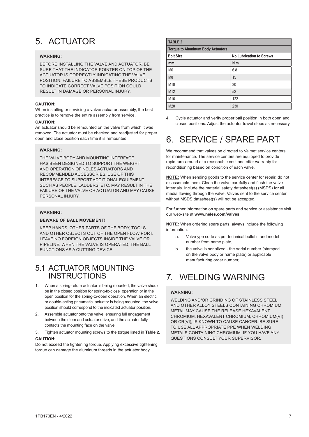# <span id="page-6-0"></span>5. ACTUATOR

### **WARNING:**

BEFORE INSTALLING THE VALVE AND ACTUATOR, BE SURE THAT THE INDICATOR POINTER ON TOP OF THE ACTUATOR IS CORRECTLY INDICATING THE VALVE POSITION. FAILURE TO ASSEMBLE THESE PRODUCTS TO INDICATE CORRECT VALVE POSITION COULD RESULT IN DAMAGE OR PERSONAL INJURY.

#### **CAUTION:**

When installing or servicing a valve/ actuator assembly, the best practice is to remove the entire assembly from service.

#### **CAUTION:**

An actuator should be remounted on the valve from which it was removed. The actuator must be checked and readjusted for proper open and close position each time it is remounted.

### **WARNING:**

THE VALVE BODY AND MOUNTING INTERFACE HAS BEEN DESIGNED TO SUPPORT THE WEIGHT AND OPERATION OF NELES ACTUATORS AND RECOMMENDED ACCESSORIES. USE OF THIS INTERFACE TO SUPPORT ADDITIONAL EQUIPMENT SUCH AS PEOPLE, LADDERS, ETC. MAY RESULT IN THE FAILURE OF THE VALVE OR ACTUATOR AND MAY CAUSE PERSONAL INJURY

#### **WARNING:**

#### **BEWARE OF BALL MOVEMENT!**

KEEP HANDS, OTHER PARTS OF THE BODY, TOOLS AND OTHER OBJECTS OUT OF THE OPEN FLOW PORT. LEAVE NO FOREIGN OBJECTS INSIDE THE VALVE OR PIPELINE. WHEN THE VALVE IS OPERATED, THE BALL FUNCTIONS AS A CUTTING DEVICE.

### 5.1 ACTUATOR MOUNTING INSTRUCTIONS

- 1. When a spring-return actuator is being mounted, the valve should be in the closed position for spring-to-close operation or in the open position for the spring-to-open operation. When an electric or double-acting pneumatic actuator is being mounted, the valve position should correspond to the indicated actuator position.
- 2. Assemble actuator onto the valve, ensuring full engagement between the stem and actuator drive, and the actuator fully contacts the mounting face on the valve.
- 3. Tighten actuator mounting screws to the torque listed in **Table 2**.

### **CAUTION:**

Do not exceed the tightening torque. Applying excessive tightening torque can damage the aluminum threads in the actuator body.

| <b>TABLE 2</b>                           |                                 |  |
|------------------------------------------|---------------------------------|--|
| <b>Torque to Aluminum Body Actuators</b> |                                 |  |
| <b>Bolt Size</b>                         | <b>No Lubrication to Screws</b> |  |
| mm                                       | N.m                             |  |
| M <sub>6</sub>                           | 6.8                             |  |
| M <sub>8</sub>                           | 15                              |  |
| M10                                      | 30                              |  |
| M <sub>12</sub>                          | 52                              |  |
| M16                                      | 122                             |  |
| M20                                      | 230                             |  |

4. Cycle actuator and verify proper ball position in both open and closed positions. Adjust the actuator travel stops as necessary.

# 6. SERVICE / SPARE PART

We recommend that valves be directed to Valmet service centers for maintenance. The service centers are equipped to provide rapid turn-around at a reasonable cost and offer warranty for reconditioning based on condition of each valve.

**NOTE:** When sending goods to the service center for repair, do not disassemble them. Clean the valve carefully and flush the valve internals. Include the material safety datasheet(s) (MSDS) for all media flowing through the valve. Valves sent to the service center without MSDS datasheet(s) will not be accepted.

For further information on spare parts and service or assistance visit our web-site at **www.neles.com/valves**.

**NOTE:** When ordering spare parts, always include the following information:

- a. Valve ype code as per technical bulletin and model number from name plate,
- b. the valve is serialized the serial number (stamped on the valve body or name plate) or applicable manufacturing order number,

# 7. WELDING WARNING

### **WARNING:**

WELDING AND/OR GRINDING OF STAINLESS STEEL AND OTHER ALLOY STEELS CONTAINING CHROMIUM METAL MAY CAUSE THE RELEASE HEXAVALENT CHROMIUM. HEXAVALENT CHROMIUM, CHROMIUM(VI) OR CR(VI), IS KNOWN TO CAUSE CANCER. BE SURE TO USE ALL APPROPRIATE PPE WHEN WELDING METALS CONTAINING CHROMIUM. IF YOU HAVE ANY QUESTIONS CONSULT YOUR SUPERVISOR.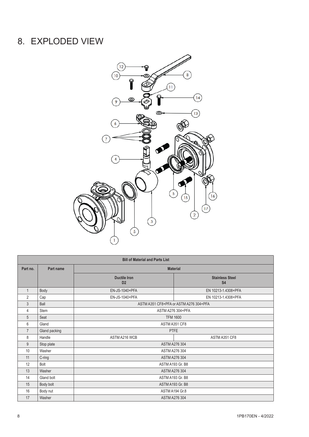# <span id="page-7-0"></span>8. EXPLODED VIEW



|                | <b>Bill of Material and Parts List</b> |                                       |                                        |  |
|----------------|----------------------------------------|---------------------------------------|----------------------------------------|--|
| Part no.       | Part name                              | <b>Material</b>                       |                                        |  |
|                |                                        | <b>Ductile Iron</b><br>D <sub>2</sub> | <b>Stainless Steel</b><br><b>S4</b>    |  |
| $\mathbf{1}$   | Body                                   | EN-JS-1040+PFA                        | EN 10213-1.4308+PFA                    |  |
| $\overline{2}$ | Cap                                    | EN-JS-1040+PFA                        | EN 10213-1.4308+PFA                    |  |
| $\mathfrak{Z}$ | Ball                                   |                                       | ASTM A351 CF8+PFA or ASTM A276 304+PFA |  |
| 4              | <b>Stem</b>                            |                                       | ASTM A276 304+PFA                      |  |
| 5              | Seat                                   |                                       | <b>TFM 1600</b>                        |  |
| 6              | Gland                                  | ASTM A351 CF8                         |                                        |  |
| $\overline{7}$ | Gland packing                          | <b>PTFE</b>                           |                                        |  |
| 8              | Handle                                 | ASTM A216 WCB                         | ASTM A351 CF8                          |  |
| 9              | Stop plate                             |                                       | <b>ASTM A276 304</b>                   |  |
| 10             | Washer                                 |                                       | <b>ASTM A276 304</b>                   |  |
| 11             | C-ring                                 |                                       | <b>ASTM A276 304</b>                   |  |
| 12             | Bolt                                   |                                       | ASTM A193 Gr. B8                       |  |
| 13             | Washer                                 | ASTM A276 304                         |                                        |  |
| 14             | Gland bolt                             |                                       | ASTM A193 Gr. B8                       |  |
| 15             | Body bolt                              |                                       | ASTM A193 Gr. B8                       |  |
| 16             | Body nut                               | ASTM A194 Gr.8                        |                                        |  |
| 17             | Washer                                 |                                       | <b>ASTM A276 304</b>                   |  |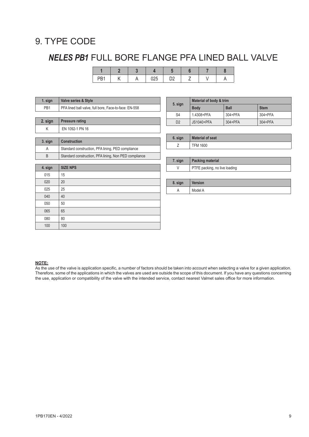## <span id="page-8-0"></span>9. TYPE CODE

# *NELES PB1* FULL BORE FLANGE PFA LINED BALL VALVE

| nn. |  |  |  |  |
|-----|--|--|--|--|

| 1. sign         | <b>Valve series &amp; Style</b>                       |
|-----------------|-------------------------------------------------------|
| PB <sub>1</sub> | PFA lined ball valve, full bore, Face-to-face: EN-558 |
|                 |                                                       |
| 2. sign         | <b>Pressure rating</b>                                |
| K               | EN 1092-1 PN 16                                       |
|                 |                                                       |
|                 |                                                       |
| 3. sign         | <b>Construction</b>                                   |
| A               | Standard construction, PFA lining, PED compliance     |
| B               | Standard construction, PFA lining, Non PED compliance |
|                 |                                                       |

|                | Material of body & trim |             |             |
|----------------|-------------------------|-------------|-------------|
| 5. sign        | <b>Body</b>             | <b>Ball</b> | <b>Stem</b> |
| S <sub>4</sub> | 1.4308+PFA              | 304+PFA     | 304+PFA     |
| D <sub>2</sub> | JS1040+PFA              | $304 + PFA$ | 304+PFA     |

| 6. sign | <b>Material of seat</b> |
|---------|-------------------------|
|         | <b>TFM 1600</b>         |

| 7. sian | Packing material              |
|---------|-------------------------------|
|         | PTFE packing, no live loading |

| 8. sign | <b>Version</b> |
|---------|----------------|
|         | Model A        |

### **NOTE:**

As the use of the valve is application specific, a number of factors should be taken into account when selecting a valve for a given application. Therefore, some of the applications in which the valves are used are outside the scope of this document. If you have any questions concerning the use, application or compatibility of the valve with the intended service, contact nearest Valmet sales office for more information.